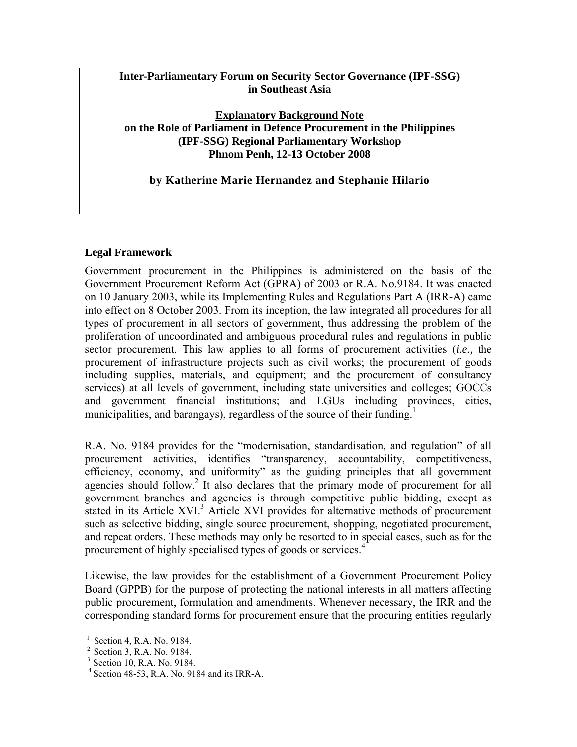# **Inter-Parliamentary Forum on Security Sector Governance (IPF-SSG) in Southeast Asia**

**Explanatory Background Note on the Role of Parliament in Defence Procurement in the Philippines (IPF-SSG) Regional Parliamentary Workshop Phnom Penh, 12-13 October 2008**

## **by Katherine Marie Hernandez and Stephanie Hilario**

# **Legal Framework**

Government procurement in the Philippines is administered on the basis of the Government Procurement Reform Act (GPRA) of 2003 or R.A. No.9184. It was enacted on 10 January 2003, while its Implementing Rules and Regulations Part A (IRR-A) came into effect on 8 October 2003. From its inception, the law integrated all procedures for all types of procurement in all sectors of government, thus addressing the problem of the proliferation of uncoordinated and ambiguous procedural rules and regulations in public sector procurement. This law applies to all forms of procurement activities (*i.e.,* the procurement of infrastructure projects such as civil works; the procurement of goods including supplies, materials, and equipment; and the procurement of consultancy services) at all levels of government, including state universities and colleges; GOCCs and government financial institutions; and LGUs including provinces, cities, municipalities, and barangays), regardless of the source of their funding.<sup>1</sup>

R.A. No. 9184 provides for the "modernisation, standardisation, and regulation" of all procurement activities, identifies "transparency, accountability, competitiveness, efficiency, economy, and uniformity" as the guiding principles that all government agencies should follow.<sup>2</sup> It also declares that the primary mode of procurement for all government branches and agencies is through competitive public bidding, except as stated in its Article XVI.<sup>3</sup> Article XVI provides for alternative methods of procurement such as selective bidding, single source procurement, shopping, negotiated procurement, and repeat orders. These methods may only be resorted to in special cases, such as for the procurement of highly specialised types of goods or services.<sup>4</sup>

Likewise, the law provides for the establishment of a Government Procurement Policy Board (GPPB) for the purpose of protecting the national interests in all matters affecting public procurement, formulation and amendments. Whenever necessary, the IRR and the corresponding standard forms for procurement ensure that the procuring entities regularly

 $\overline{a}$ 

<sup>1</sup> Section 4, R.A. No. 9184.

<sup>2</sup> Section 3, R.A. No. 9184.

<sup>3</sup> Section 10, R.A. No. 9184.

<sup>4</sup> Section 48-53, R.A. No. 9184 and its IRR-A.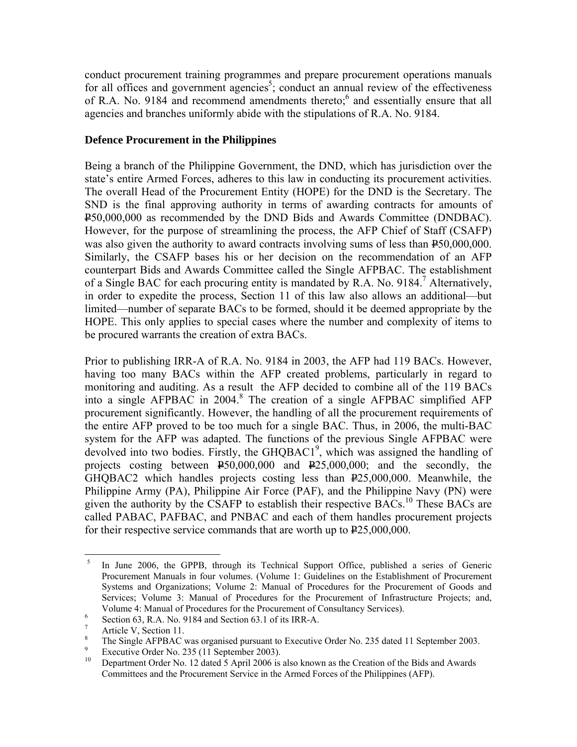conduct procurement training programmes and prepare procurement operations manuals for all offices and government agencies<sup>5</sup>; conduct an annual review of the effectiveness of R.A. No. 9184 and recommend amendments thereto;<sup>6</sup> and essentially ensure that all agencies and branches uniformly abide with the stipulations of R.A. No. 9184.

## **Defence Procurement in the Philippines**

Being a branch of the Philippine Government, the DND, which has jurisdiction over the state's entire Armed Forces, adheres to this law in conducting its procurement activities. The overall Head of the Procurement Entity (HOPE) for the DND is the Secretary. The SND is the final approving authority in terms of awarding contracts for amounts of P50,000,000 as recommended by the DND Bids and Awards Committee (DNDBAC). However, for the purpose of streamlining the process, the AFP Chief of Staff (CSAFP) was also given the authority to award contracts involving sums of less than  $250,000,000$ . Similarly, the CSAFP bases his or her decision on the recommendation of an AFP counterpart Bids and Awards Committee called the Single AFPBAC. The establishment of a Single BAC for each procuring entity is mandated by R.A. No. 9184.<sup>7</sup> Alternatively, in order to expedite the process, Section 11 of this law also allows an additional—but limited—number of separate BACs to be formed, should it be deemed appropriate by the HOPE. This only applies to special cases where the number and complexity of items to be procured warrants the creation of extra BACs.

Prior to publishing IRR-A of R.A. No. 9184 in 2003, the AFP had 119 BACs. However, having too many BACs within the AFP created problems, particularly in regard to monitoring and auditing. As a result the AFP decided to combine all of the 119 BACs into a single AFPBAC in 2004.<sup>8</sup> The creation of a single AFPBAC simplified AFP procurement significantly. However, the handling of all the procurement requirements of the entire AFP proved to be too much for a single BAC. Thus, in 2006, the multi-BAC system for the AFP was adapted. The functions of the previous Single AFPBAC were devolved into two bodies. Firstly, the GHQBAC1<sup>9</sup>, which was assigned the handling of projects costing between  $\text{\textsterling}50,000,000$  and  $\text{\textsterling}25,000,000$ ; and the secondly, the GHQBAC2 which handles projects costing less than P25,000,000. Meanwhile, the Philippine Army (PA), Philippine Air Force (PAF), and the Philippine Navy (PN) were given the authority by the CSAFP to establish their respective BACs.<sup>10</sup> These BACs are called PABAC, PAFBAC, and PNBAC and each of them handles procurement projects for their respective service commands that are worth up to  $225,000,000$ .

 $\overline{a}$ 

<sup>5</sup> In June 2006, the GPPB, through its Technical Support Office, published a series of Generic Procurement Manuals in four volumes. (Volume 1: Guidelines on the Establishment of Procurement Systems and Organizations; Volume 2: Manual of Procedures for the Procurement of Goods and Services; Volume 3: Manual of Procedures for the Procurement of Infrastructure Projects; and, Volume 4: Manual of Procedures for the Procurement of Consultancy Services).

Section 63, R.A. No. 9184 and Section 63.1 of its IRR-A.

<sup>7</sup> Article V, Section 11.

<sup>8</sup> The Single AFPBAC was organised pursuant to Executive Order No. 235 dated 11 September 2003.

<sup>9</sup> Executive Order No. 235 (11 September 2003).

<sup>10</sup> Department Order No. 12 dated 5 April 2006 is also known as the Creation of the Bids and Awards Committees and the Procurement Service in the Armed Forces of the Philippines (AFP).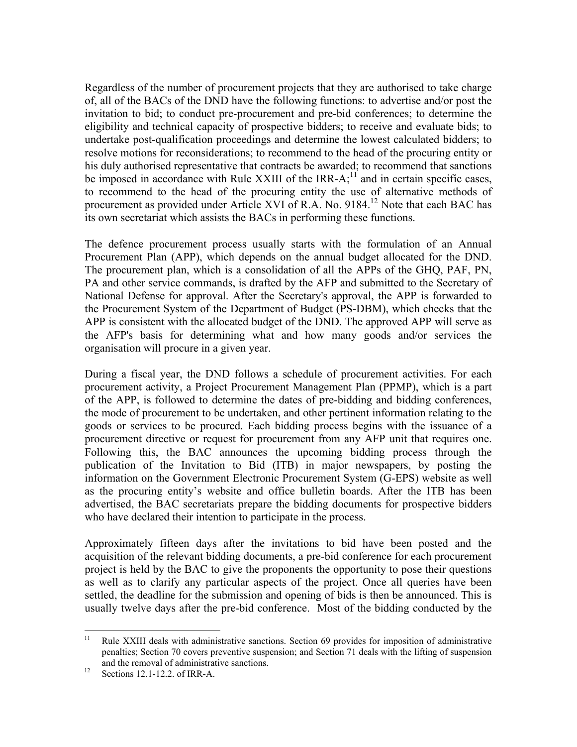Regardless of the number of procurement projects that they are authorised to take charge of, all of the BACs of the DND have the following functions: to advertise and/or post the invitation to bid; to conduct pre-procurement and pre-bid conferences; to determine the eligibility and technical capacity of prospective bidders; to receive and evaluate bids; to undertake post-qualification proceedings and determine the lowest calculated bidders; to resolve motions for reconsiderations; to recommend to the head of the procuring entity or his duly authorised representative that contracts be awarded; to recommend that sanctions be imposed in accordance with Rule XXIII of the IRR- $A$ ;<sup>11</sup> and in certain specific cases, to recommend to the head of the procuring entity the use of alternative methods of procurement as provided under Article XVI of R.A. No. 9184.12 Note that each BAC has its own secretariat which assists the BACs in performing these functions.

The defence procurement process usually starts with the formulation of an Annual Procurement Plan (APP), which depends on the annual budget allocated for the DND. The procurement plan, which is a consolidation of all the APPs of the GHQ, PAF, PN, PA and other service commands, is drafted by the AFP and submitted to the Secretary of National Defense for approval. After the Secretary's approval, the APP is forwarded to the Procurement System of the Department of Budget (PS-DBM), which checks that the APP is consistent with the allocated budget of the DND. The approved APP will serve as the AFP's basis for determining what and how many goods and/or services the organisation will procure in a given year.

During a fiscal year, the DND follows a schedule of procurement activities. For each procurement activity, a Project Procurement Management Plan (PPMP), which is a part of the APP, is followed to determine the dates of pre-bidding and bidding conferences, the mode of procurement to be undertaken, and other pertinent information relating to the goods or services to be procured. Each bidding process begins with the issuance of a procurement directive or request for procurement from any AFP unit that requires one. Following this, the BAC announces the upcoming bidding process through the publication of the Invitation to Bid (ITB) in major newspapers, by posting the information on the Government Electronic Procurement System (G-EPS) website as well as the procuring entity's website and office bulletin boards. After the ITB has been advertised, the BAC secretariats prepare the bidding documents for prospective bidders who have declared their intention to participate in the process.

Approximately fifteen days after the invitations to bid have been posted and the acquisition of the relevant bidding documents, a pre-bid conference for each procurement project is held by the BAC to give the proponents the opportunity to pose their questions as well as to clarify any particular aspects of the project. Once all queries have been settled, the deadline for the submission and opening of bids is then be announced. This is usually twelve days after the pre-bid conference. Most of the bidding conducted by the

 $11$ 11 Rule XXIII deals with administrative sanctions. Section 69 provides for imposition of administrative penalties; Section 70 covers preventive suspension; and Section 71 deals with the lifting of suspension and the removal of administrative sanctions.<br><sup>12</sup> Sections 12.1-12.2. of IRR-A.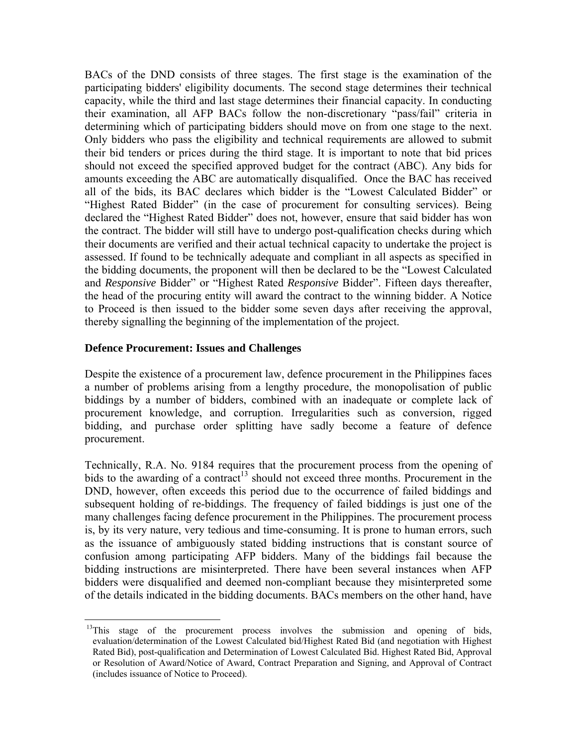BACs of the DND consists of three stages. The first stage is the examination of the participating bidders' eligibility documents. The second stage determines their technical capacity, while the third and last stage determines their financial capacity. In conducting their examination, all AFP BACs follow the non-discretionary "pass/fail" criteria in determining which of participating bidders should move on from one stage to the next. Only bidders who pass the eligibility and technical requirements are allowed to submit their bid tenders or prices during the third stage. It is important to note that bid prices should not exceed the specified approved budget for the contract (ABC). Any bids for amounts exceeding the ABC are automatically disqualified. Once the BAC has received all of the bids, its BAC declares which bidder is the "Lowest Calculated Bidder" or "Highest Rated Bidder" (in the case of procurement for consulting services). Being declared the "Highest Rated Bidder" does not, however, ensure that said bidder has won the contract. The bidder will still have to undergo post-qualification checks during which their documents are verified and their actual technical capacity to undertake the project is assessed. If found to be technically adequate and compliant in all aspects as specified in the bidding documents, the proponent will then be declared to be the "Lowest Calculated and *Responsive* Bidder" or "Highest Rated *Responsive* Bidder". Fifteen days thereafter, the head of the procuring entity will award the contract to the winning bidder. A Notice to Proceed is then issued to the bidder some seven days after receiving the approval, thereby signalling the beginning of the implementation of the project.

#### **Defence Procurement: Issues and Challenges**

 $\overline{a}$ 

Despite the existence of a procurement law, defence procurement in the Philippines faces a number of problems arising from a lengthy procedure, the monopolisation of public biddings by a number of bidders, combined with an inadequate or complete lack of procurement knowledge, and corruption. Irregularities such as conversion, rigged bidding, and purchase order splitting have sadly become a feature of defence procurement.

Technically, R.A. No. 9184 requires that the procurement process from the opening of bids to the awarding of a contract<sup>13</sup> should not exceed three months. Procurement in the DND, however, often exceeds this period due to the occurrence of failed biddings and subsequent holding of re-biddings. The frequency of failed biddings is just one of the many challenges facing defence procurement in the Philippines. The procurement process is, by its very nature, very tedious and time-consuming. It is prone to human errors, such as the issuance of ambiguously stated bidding instructions that is constant source of confusion among participating AFP bidders. Many of the biddings fail because the bidding instructions are misinterpreted. There have been several instances when AFP bidders were disqualified and deemed non-compliant because they misinterpreted some of the details indicated in the bidding documents. BACs members on the other hand, have

<sup>&</sup>lt;sup>13</sup>This stage of the procurement process involves the submission and opening of bids, evaluation/determination of the Lowest Calculated bid/Highest Rated Bid (and negotiation with Highest Rated Bid), post-qualification and Determination of Lowest Calculated Bid. Highest Rated Bid, Approval or Resolution of Award/Notice of Award, Contract Preparation and Signing, and Approval of Contract (includes issuance of Notice to Proceed).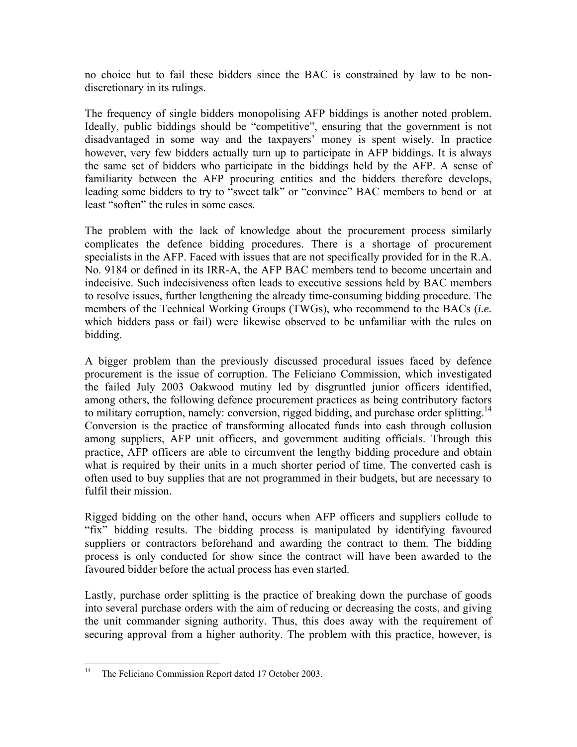no choice but to fail these bidders since the BAC is constrained by law to be nondiscretionary in its rulings.

The frequency of single bidders monopolising AFP biddings is another noted problem. Ideally, public biddings should be "competitive", ensuring that the government is not disadvantaged in some way and the taxpayers' money is spent wisely. In practice however, very few bidders actually turn up to participate in AFP biddings. It is always the same set of bidders who participate in the biddings held by the AFP. A sense of familiarity between the AFP procuring entities and the bidders therefore develops, leading some bidders to try to "sweet talk" or "convince" BAC members to bend or at least "soften" the rules in some cases.

The problem with the lack of knowledge about the procurement process similarly complicates the defence bidding procedures. There is a shortage of procurement specialists in the AFP. Faced with issues that are not specifically provided for in the R.A. No. 9184 or defined in its IRR-A, the AFP BAC members tend to become uncertain and indecisive. Such indecisiveness often leads to executive sessions held by BAC members to resolve issues, further lengthening the already time-consuming bidding procedure. The members of the Technical Working Groups (TWGs), who recommend to the BACs (*i.e.*  which bidders pass or fail) were likewise observed to be unfamiliar with the rules on bidding.

A bigger problem than the previously discussed procedural issues faced by defence procurement is the issue of corruption. The Feliciano Commission, which investigated the failed July 2003 Oakwood mutiny led by disgruntled junior officers identified, among others, the following defence procurement practices as being contributory factors to military corruption, namely: conversion, rigged bidding, and purchase order splitting.<sup>14</sup> Conversion is the practice of transforming allocated funds into cash through collusion among suppliers, AFP unit officers, and government auditing officials. Through this practice, AFP officers are able to circumvent the lengthy bidding procedure and obtain what is required by their units in a much shorter period of time. The converted cash is often used to buy supplies that are not programmed in their budgets, but are necessary to fulfil their mission.

Rigged bidding on the other hand, occurs when AFP officers and suppliers collude to "fix" bidding results. The bidding process is manipulated by identifying favoured suppliers or contractors beforehand and awarding the contract to them. The bidding process is only conducted for show since the contract will have been awarded to the favoured bidder before the actual process has even started.

Lastly, purchase order splitting is the practice of breaking down the purchase of goods into several purchase orders with the aim of reducing or decreasing the costs, and giving the unit commander signing authority. Thus, this does away with the requirement of securing approval from a higher authority. The problem with this practice, however, is

 $14$ The Feliciano Commission Report dated 17 October 2003.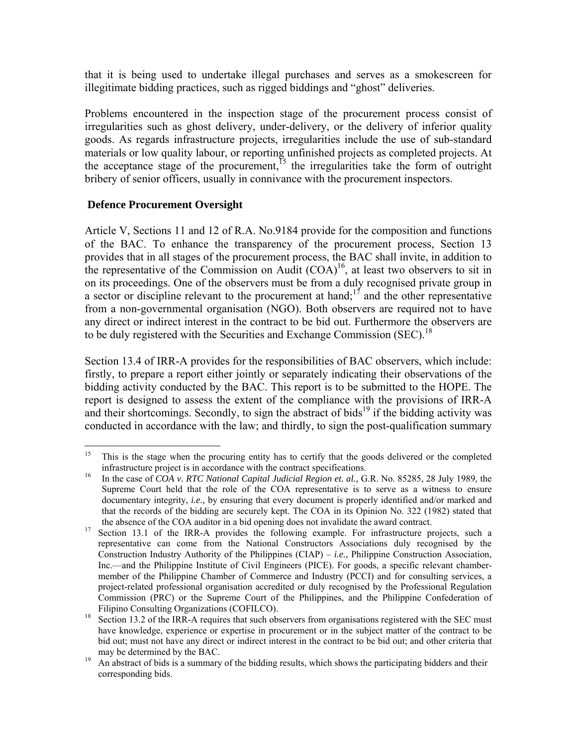that it is being used to undertake illegal purchases and serves as a smokescreen for illegitimate bidding practices, such as rigged biddings and "ghost" deliveries.

Problems encountered in the inspection stage of the procurement process consist of irregularities such as ghost delivery, under-delivery, or the delivery of inferior quality goods. As regards infrastructure projects, irregularities include the use of sub-standard materials or low quality labour, or reporting unfinished projects as completed projects. At the acceptance stage of the procurement,<sup>15</sup> the irregularities take the form of outright bribery of senior officers, usually in connivance with the procurement inspectors.

# **Defence Procurement Oversight**

Article V, Sections 11 and 12 of R.A. No.9184 provide for the composition and functions of the BAC. To enhance the transparency of the procurement process, Section 13 provides that in all stages of the procurement process, the BAC shall invite, in addition to the representative of the Commission on Audit  $(COA)^{16}$ , at least two observers to sit in on its proceedings. One of the observers must be from a duly recognised private group in a sector or discipline relevant to the procurement at hand;<sup>17</sup> and the other representative from a non-governmental organisation (NGO). Both observers are required not to have any direct or indirect interest in the contract to be bid out. Furthermore the observers are to be duly registered with the Securities and Exchange Commission (SEC).<sup>18</sup>

Section 13.4 of IRR-A provides for the responsibilities of BAC observers, which include: firstly, to prepare a report either jointly or separately indicating their observations of the bidding activity conducted by the BAC. This report is to be submitted to the HOPE. The report is designed to assess the extent of the compliance with the provisions of IRR-A and their shortcomings. Secondly, to sign the abstract of bids<sup>19</sup> if the bidding activity was conducted in accordance with the law; and thirdly, to sign the post-qualification summary

<sup>15</sup> This is the stage when the procuring entity has to certify that the goods delivered or the completed infrastructure project is in accordance with the contract specifications.<br><sup>16</sup> In the case of *COA v. RTC National Capital Judicial Region et. al., G.R. No. 85285, 28 July 1989, the* 

Supreme Court held that the role of the COA representative is to serve as a witness to ensure documentary integrity, *i.e.,* by ensuring that every document is properly identified and/or marked and that the records of the bidding are securely kept. The COA in its Opinion No. 322 (1982) stated that

the absence of the COA auditor in a bid opening does not invalidate the award contract.<br>Section 13.1 of the IRR-A provides the following example. For infrastructure projects, such a representative can come from the National Constructors Associations duly recognised by the Construction Industry Authority of the Philippines (CIAP) – *i.e.,* Philippine Construction Association, Inc.—and the Philippine Institute of Civil Engineers (PICE). For goods, a specific relevant chambermember of the Philippine Chamber of Commerce and Industry (PCCI) and for consulting services, a project-related professional organisation accredited or duly recognised by the Professional Regulation Commission (PRC) or the Supreme Court of the Philippines, and the Philippine Confederation of

Filipino Consulting Organizations (COFILCO).<br><sup>18</sup> Section 13.2 of the IRR-A requires that such observers from organisations registered with the SEC must have knowledge, experience or expertise in procurement or in the subject matter of the contract to be bid out; must not have any direct or indirect interest in the contract to be bid out; and other criteria that

may be determined by the BAC.<br>An abstract of bids is a summary of the bidding results, which shows the participating bidders and their corresponding bids.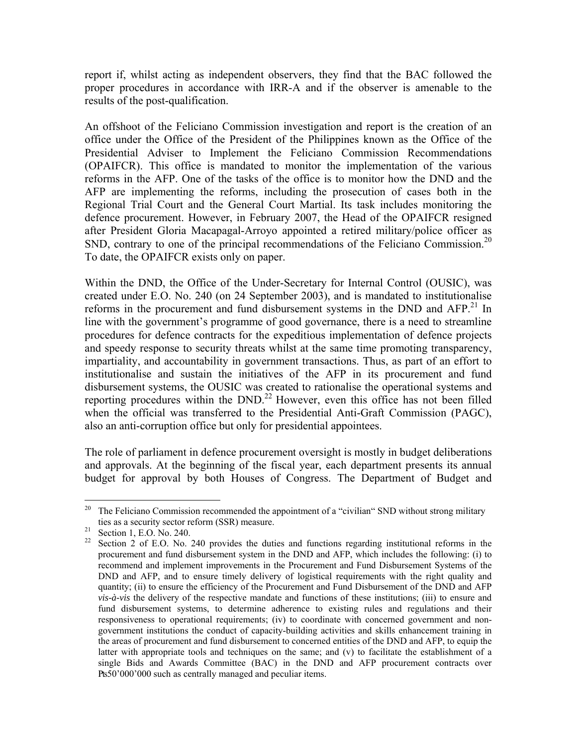report if, whilst acting as independent observers, they find that the BAC followed the proper procedures in accordance with IRR-A and if the observer is amenable to the results of the post-qualification.

An offshoot of the Feliciano Commission investigation and report is the creation of an office under the Office of the President of the Philippines known as the Office of the Presidential Adviser to Implement the Feliciano Commission Recommendations (OPAIFCR). This office is mandated to monitor the implementation of the various reforms in the AFP. One of the tasks of the office is to monitor how the DND and the AFP are implementing the reforms, including the prosecution of cases both in the Regional Trial Court and the General Court Martial. Its task includes monitoring the defence procurement. However, in February 2007, the Head of the OPAIFCR resigned after President Gloria Macapagal-Arroyo appointed a retired military/police officer as SND, contrary to one of the principal recommendations of the Feliciano Commission.<sup>20</sup> To date, the OPAIFCR exists only on paper.

Within the DND, the Office of the Under-Secretary for Internal Control (OUSIC), was created under E.O. No. 240 (on 24 September 2003), and is mandated to institutionalise reforms in the procurement and fund disbursement systems in the DND and  $AFP<sup>21</sup>$  In line with the government's programme of good governance, there is a need to streamline procedures for defence contracts for the expeditious implementation of defence projects and speedy response to security threats whilst at the same time promoting transparency, impartiality, and accountability in government transactions. Thus, as part of an effort to institutionalise and sustain the initiatives of the AFP in its procurement and fund disbursement systems, the OUSIC was created to rationalise the operational systems and reporting procedures within the DND.<sup>22</sup> However, even this office has not been filled when the official was transferred to the Presidential Anti-Graft Commission (PAGC), also an anti-corruption office but only for presidential appointees.

The role of parliament in defence procurement oversight is mostly in budget deliberations and approvals. At the beginning of the fiscal year, each department presents its annual budget for approval by both Houses of Congress. The Department of Budget and

<sup>20</sup> 20 The Feliciano Commission recommended the appointment of a "civilian" SND without strong military ties as a security sector reform (SSR) measure.<br><sup>21</sup> Section 1, E.O. No. 240.

<sup>&</sup>lt;sup>22</sup> Section 2 of E.O. No. 240 provides the duties and functions regarding institutional reforms in the procurement and fund disbursement system in the DND and AFP, which includes the following: (i) to recommend and implement improvements in the Procurement and Fund Disbursement Systems of the DND and AFP, and to ensure timely delivery of logistical requirements with the right quality and quantity; (ii) to ensure the efficiency of the Procurement and Fund Disbursement of the DND and AFP *vis-à-vis* the delivery of the respective mandate and functions of these institutions; (iii) to ensure and fund disbursement systems, to determine adherence to existing rules and regulations and their responsiveness to operational requirements; (iv) to coordinate with concerned government and nongovernment institutions the conduct of capacity-building activities and skills enhancement training in the areas of procurement and fund disbursement to concerned entities of the DND and AFP, to equip the latter with appropriate tools and techniques on the same; and (v) to facilitate the establishment of a single Bids and Awards Committee (BAC) in the DND and AFP procurement contracts over Pts50'000'000 such as centrally managed and peculiar items.